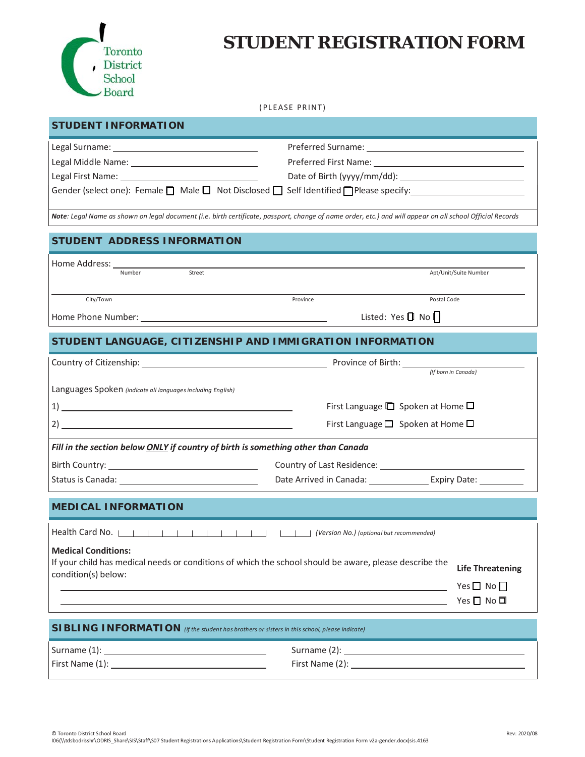

## **STUDENT REGISTRATION FORM**

## (PLEASE PRINT)

| <b>STUDENT INFORMATION</b>                                                                                                                                                                                                     |                                                         |                         |  |  |
|--------------------------------------------------------------------------------------------------------------------------------------------------------------------------------------------------------------------------------|---------------------------------------------------------|-------------------------|--|--|
|                                                                                                                                                                                                                                |                                                         |                         |  |  |
|                                                                                                                                                                                                                                |                                                         |                         |  |  |
|                                                                                                                                                                                                                                |                                                         |                         |  |  |
| Gender (select one): Female $\Box$ Male $\Box$ Not Disclosed $\Box$ Self Identified $\Box$ Please specify:                                                                                                                     |                                                         |                         |  |  |
| Note: Legal Name as shown on legal document (i.e. birth certificate, passport, change of name order, etc.) and will appear on all school Official Records                                                                      |                                                         |                         |  |  |
| STUDENT ADDRESS INFORMATION                                                                                                                                                                                                    |                                                         |                         |  |  |
| Home Address:                                                                                                                                                                                                                  |                                                         |                         |  |  |
| Street<br>Number                                                                                                                                                                                                               |                                                         | Apt/Unit/Suite Number   |  |  |
|                                                                                                                                                                                                                                |                                                         | Postal Code             |  |  |
| City/Town                                                                                                                                                                                                                      | Province                                                |                         |  |  |
|                                                                                                                                                                                                                                | Listed: Yes II No I                                     |                         |  |  |
| STUDENT LANGUAGE, CITIZENSHIP AND IMMIGRATION INFORMATION                                                                                                                                                                      |                                                         |                         |  |  |
| Country of Citizenship: No. 2014 19:00 No. 2014 19:00 No. 2014 19:00 No. 2014 19:00 No. 2014 19:00 No. 2014 19:00 No. 2014 19:00 No. 2014 19:00 No. 2014 19:00 No. 2014 19:00 No. 2014 19:00 No. 2014 19:00 No. 2014 19:00 No. |                                                         |                         |  |  |
|                                                                                                                                                                                                                                |                                                         | (If born in Canada)     |  |  |
| Languages Spoken (indicate all languages including English)                                                                                                                                                                    |                                                         |                         |  |  |
|                                                                                                                                                                                                                                | First Language $\square$ Spoken at Home $\square$       |                         |  |  |
| 2)                                                                                                                                                                                                                             | First Language <sup>1</sup> Spoken at Home <sup>1</sup> |                         |  |  |
| Fill in the section below ONLY if country of birth is something other than Canada                                                                                                                                              |                                                         |                         |  |  |
|                                                                                                                                                                                                                                |                                                         |                         |  |  |
|                                                                                                                                                                                                                                |                                                         |                         |  |  |
| <b>MEDICAL INFORMATION</b>                                                                                                                                                                                                     |                                                         |                         |  |  |
|                                                                                                                                                                                                                                |                                                         |                         |  |  |
|                                                                                                                                                                                                                                |                                                         |                         |  |  |
| <b>Medical Conditions:</b>                                                                                                                                                                                                     |                                                         |                         |  |  |
| If your child has medical needs or conditions of which the school should be aware, please describe the<br>condition(s) below:                                                                                                  |                                                         | <b>Life Threatening</b> |  |  |
|                                                                                                                                                                                                                                |                                                         | Yes $\Box$ No $\Box$    |  |  |
| <u> 1989 - Jan Samuel Barbara, marka a shekara ta 1989 - An tsara tsa na shekara tsa na shekara tsa na shekara t</u>                                                                                                           |                                                         | Yes □ No □              |  |  |
|                                                                                                                                                                                                                                |                                                         |                         |  |  |
| <b>SIBLING INFORMATION</b> (if the student has brothers or sisters in this school, please indicate)                                                                                                                            |                                                         |                         |  |  |
|                                                                                                                                                                                                                                |                                                         |                         |  |  |
| First Name (1): 2008                                                                                                                                                                                                           |                                                         |                         |  |  |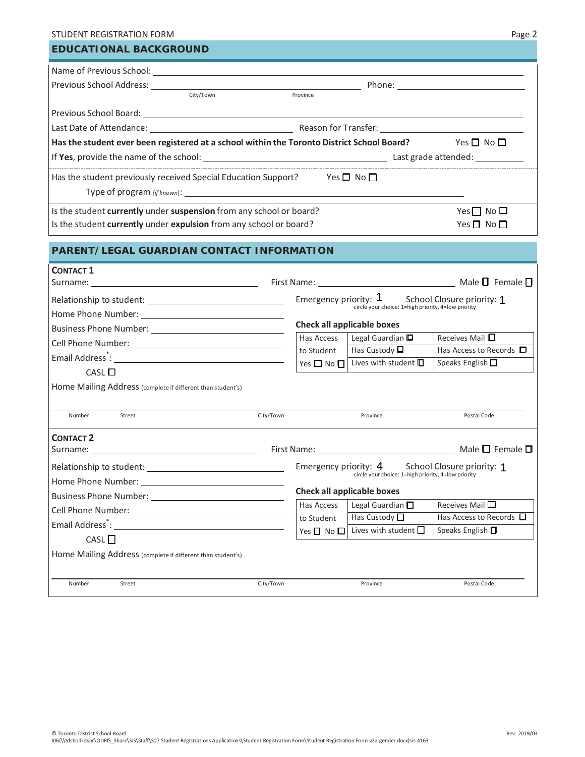| STUDENT REGISTRATION FORM                                                                                                                                                                                                      |                            |                                                                                                         | Page 2                                                   |
|--------------------------------------------------------------------------------------------------------------------------------------------------------------------------------------------------------------------------------|----------------------------|---------------------------------------------------------------------------------------------------------|----------------------------------------------------------|
| <b>EDUCATIONAL BACKGROUND</b>                                                                                                                                                                                                  |                            |                                                                                                         |                                                          |
|                                                                                                                                                                                                                                |                            |                                                                                                         |                                                          |
|                                                                                                                                                                                                                                |                            |                                                                                                         |                                                          |
| City/Town                                                                                                                                                                                                                      | Province                   |                                                                                                         |                                                          |
|                                                                                                                                                                                                                                |                            |                                                                                                         |                                                          |
|                                                                                                                                                                                                                                |                            |                                                                                                         |                                                          |
| Has the student ever been registered at a school within the Toronto District School Board? Yes $\Box$ No $\Box$                                                                                                                |                            |                                                                                                         |                                                          |
|                                                                                                                                                                                                                                |                            |                                                                                                         |                                                          |
| Has the student previously received Special Education Support? Yes $\square$ No $\square$                                                                                                                                      |                            |                                                                                                         |                                                          |
| Is the student currently under suspension from any school or board?                                                                                                                                                            |                            |                                                                                                         | Yes $\Box$ No $\Box$                                     |
| Is the student currently under expulsion from any school or board?                                                                                                                                                             |                            |                                                                                                         | Yes $\Box$ No $\Box$                                     |
|                                                                                                                                                                                                                                |                            |                                                                                                         |                                                          |
| <b>PARENT/LEGAL GUARDIAN CONTACT INFORMATION</b>                                                                                                                                                                               |                            |                                                                                                         |                                                          |
| <b>CONTACT 1</b>                                                                                                                                                                                                               |                            |                                                                                                         |                                                          |
|                                                                                                                                                                                                                                |                            |                                                                                                         |                                                          |
|                                                                                                                                                                                                                                |                            | Emergency priority: 1 School Closure priority: 1<br>circle your choice: 1=high priority, 4=low priority |                                                          |
|                                                                                                                                                                                                                                |                            |                                                                                                         |                                                          |
|                                                                                                                                                                                                                                |                            | <b>Check all applicable boxes</b>                                                                       |                                                          |
|                                                                                                                                                                                                                                | Has Access                 | Legal Guardian $\square$                                                                                | Receives Mail □                                          |
|                                                                                                                                                                                                                                | to Student                 | Has Custody $\square$<br>Lives with student $\square$                                                   | Has Access to Records $\Box$<br>Speaks English $\square$ |
| CASL                                                                                                                                                                                                                           | Yes $\square$ No $\square$ |                                                                                                         |                                                          |
| Home Mailing Address (complete if different than student's)                                                                                                                                                                    |                            |                                                                                                         |                                                          |
| Number<br>Street                                                                                                                                                                                                               | City/Town                  | Province                                                                                                | Postal Code                                              |
|                                                                                                                                                                                                                                |                            |                                                                                                         |                                                          |
| <b>CONTACT 2</b>                                                                                                                                                                                                               |                            |                                                                                                         |                                                          |
|                                                                                                                                                                                                                                |                            |                                                                                                         |                                                          |
|                                                                                                                                                                                                                                |                            | Emergency priority: 4<br>circle your choice: 1=high priority, 4=low priority                            | School Closure priority: 1                               |
| Home Phone Number: North States and States and States and States and States and States and States and States and States and States and States and States and States and States and States and States and States and States and |                            | <b>Check all applicable boxes</b>                                                                       |                                                          |
|                                                                                                                                                                                                                                | Has Access                 | Legal Guardian $\square$                                                                                | Receives Mail $\square$                                  |
| Cell Phone Number: University of the Cell Phone Number:                                                                                                                                                                        | to Student                 | Has Custody $\Box$                                                                                      | Has Access to Records $\Box$                             |
|                                                                                                                                                                                                                                | Yes $\Box$ No $\Box$       | Lives with student $\square$                                                                            | Speaks English □                                         |
| CASL                                                                                                                                                                                                                           |                            |                                                                                                         |                                                          |
| Home Mailing Address (complete if different than student's)                                                                                                                                                                    |                            |                                                                                                         |                                                          |
| Number<br>Street                                                                                                                                                                                                               | City/Town                  | Province                                                                                                | Postal Code                                              |
|                                                                                                                                                                                                                                |                            |                                                                                                         |                                                          |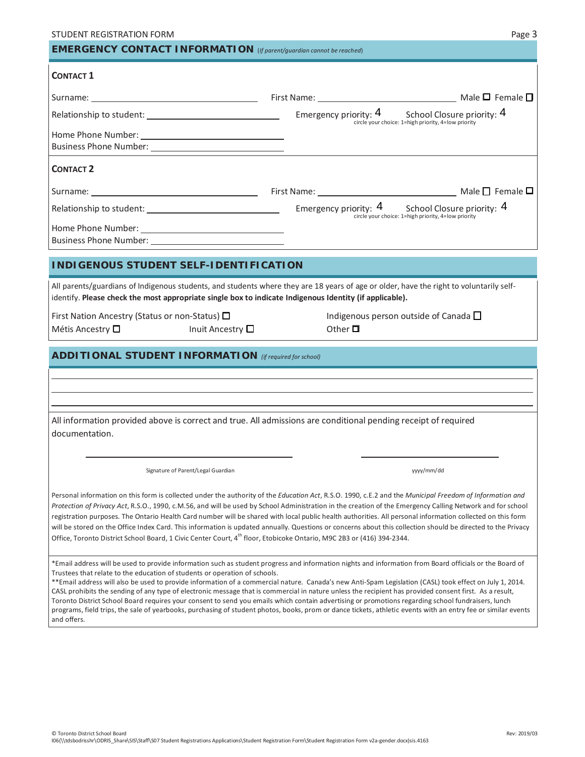|                                                                                                                                   |                                                                                                                                                                                                                                                                                                                                                                                                                                                                                                                                                                                                                                                      | Page 3 |  |  |
|-----------------------------------------------------------------------------------------------------------------------------------|------------------------------------------------------------------------------------------------------------------------------------------------------------------------------------------------------------------------------------------------------------------------------------------------------------------------------------------------------------------------------------------------------------------------------------------------------------------------------------------------------------------------------------------------------------------------------------------------------------------------------------------------------|--------|--|--|
| <b>EMERGENCY CONTACT INFORMATION</b> (If parent/guardian cannot be reached)                                                       |                                                                                                                                                                                                                                                                                                                                                                                                                                                                                                                                                                                                                                                      |        |  |  |
| <b>CONTACT 1</b>                                                                                                                  |                                                                                                                                                                                                                                                                                                                                                                                                                                                                                                                                                                                                                                                      |        |  |  |
|                                                                                                                                   |                                                                                                                                                                                                                                                                                                                                                                                                                                                                                                                                                                                                                                                      |        |  |  |
|                                                                                                                                   | circle your choice: 1=high priority, 4=low priority                                                                                                                                                                                                                                                                                                                                                                                                                                                                                                                                                                                                  |        |  |  |
|                                                                                                                                   |                                                                                                                                                                                                                                                                                                                                                                                                                                                                                                                                                                                                                                                      |        |  |  |
|                                                                                                                                   |                                                                                                                                                                                                                                                                                                                                                                                                                                                                                                                                                                                                                                                      |        |  |  |
| <b>CONTACT 2</b>                                                                                                                  |                                                                                                                                                                                                                                                                                                                                                                                                                                                                                                                                                                                                                                                      |        |  |  |
|                                                                                                                                   |                                                                                                                                                                                                                                                                                                                                                                                                                                                                                                                                                                                                                                                      |        |  |  |
|                                                                                                                                   |                                                                                                                                                                                                                                                                                                                                                                                                                                                                                                                                                                                                                                                      |        |  |  |
|                                                                                                                                   |                                                                                                                                                                                                                                                                                                                                                                                                                                                                                                                                                                                                                                                      |        |  |  |
| <b>INDIGENOUS STUDENT SELF-IDENTIFICATION</b>                                                                                     |                                                                                                                                                                                                                                                                                                                                                                                                                                                                                                                                                                                                                                                      |        |  |  |
| identify. Please check the most appropriate single box to indicate Indigenous Identity (if applicable).                           | All parents/guardians of Indigenous students, and students where they are 18 years of age or older, have the right to voluntarily self-                                                                                                                                                                                                                                                                                                                                                                                                                                                                                                              |        |  |  |
| First Nation Ancestry (Status or non-Status) □<br>Métis Ancestry □ Inuit Ancestry □                                               | Indigenous person outside of Canada $\square$<br>Other $\Pi$                                                                                                                                                                                                                                                                                                                                                                                                                                                                                                                                                                                         |        |  |  |
| <b>ADDITIONAL STUDENT INFORMATION</b> (if required for school)                                                                    |                                                                                                                                                                                                                                                                                                                                                                                                                                                                                                                                                                                                                                                      |        |  |  |
|                                                                                                                                   |                                                                                                                                                                                                                                                                                                                                                                                                                                                                                                                                                                                                                                                      |        |  |  |
|                                                                                                                                   |                                                                                                                                                                                                                                                                                                                                                                                                                                                                                                                                                                                                                                                      |        |  |  |
| documentation.                                                                                                                    | All information provided above is correct and true. All admissions are conditional pending receipt of required                                                                                                                                                                                                                                                                                                                                                                                                                                                                                                                                       |        |  |  |
|                                                                                                                                   |                                                                                                                                                                                                                                                                                                                                                                                                                                                                                                                                                                                                                                                      |        |  |  |
| Signature of Parent/Legal Guardian                                                                                                | yyyy/mm/dd                                                                                                                                                                                                                                                                                                                                                                                                                                                                                                                                                                                                                                           |        |  |  |
| Office, Toronto District School Board, 1 Civic Center Court, 4 <sup>th</sup> floor, Etobicoke Ontario, M9C 2B3 or (416) 394-2344. | Personal information on this form is collected under the authority of the Education Act, R.S.O. 1990, c.E.2 and the Municipal Freedom of Information and<br>Protection of Privacy Act, R.S.O., 1990, c.M.56, and will be used by School Administration in the creation of the Emergency Calling Network and for school<br>registration purposes. The Ontario Health Card number will be shared with local public health authorities. All personal information collected on this form<br>will be stored on the Office Index Card. This information is updated annually. Questions or concerns about this collection should be directed to the Privacy |        |  |  |